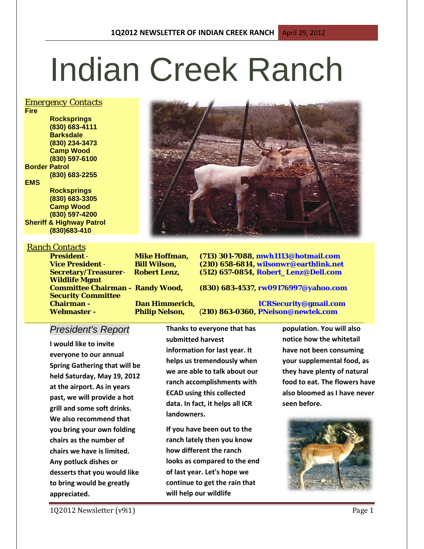# Indian Creek Ranch

### *Emergency Contacts*

**Fire Rocksprings (830) 683-4111 Barksdale (830) 234-3473 Camp Wood (830) 597-6100 Border Patrol (830) 683-2255 EMS Rocksprings (830) 683-3305 Camp Wood**

**(830) 597-4200 Sheriff & Highway Patrol (830)683-410**

*Ranch Contacts*

**Wildlife Mgmt Security Committee Webmaster - Philip Nelson,** (**210) 863-0360, PNelson@newtek.com**

**President** - **Mike Hoffman, (713) 301-7088, mwh1113@hotmail.com Bill Wilson, (210) 658-6814, wilsonwr@earthlink.net**<br> **Robert Lenz, (512) 657-0854, Robert Lenz@Dell.com Secretary/Treasurer**- **Robert Lenz, (512) 657-0854, Robert\_Lenz@Dell.com**

**Committee Chairman – Randy Wood, (830) 683-4537, rw09176997@yahoo.com**

**Chairman - Dan Himmerich, ICRSecurity@gmail.com**

### *President's Report*

**I would like to invite everyone to our annual Spring Gathering that will be held Saturday, May 19, 2012 at the airport. As in years past, we will provide a hot grill and some soft drinks. We also recommend that you bring your own folding chairs as the number of chairs we have is limited. Any potluck dishes or desserts that you would like to bring would be greatly appreciated.**

**Thanks to everyone that has submitted harvest information for last year. It helps us tremendously when we are able to talk about our ranch accomplishments with ECAD using this collected data. In fact, it helps all ICR landowners.** 

**\_\_\_\_\_\_\_\_\_\_\_\_\_\_\_\_\_\_\_\_\_\_\_\_\_\_\_\_\_\_\_\_\_\_\_\_\_\_\_\_\_\_\_\_\_\_\_\_\_\_\_\_\_\_\_\_\_\_\_\_\_\_\_\_\_\_\_\_\_\_\_\_\_\_\_\_\_\_\_\_\_\_\_\_\_\_\_\_**

**If you have been out to the ranch lately then you know how different the ranch looks as compared to the end of last year. Let's hope we continue to get the rain that will help our wildlife** 

**population. You will also notice how the whitetail have not been consuming your supplemental food, as they have plenty of natural food to eat. The flowers have also bloomed as I have never seen before.**



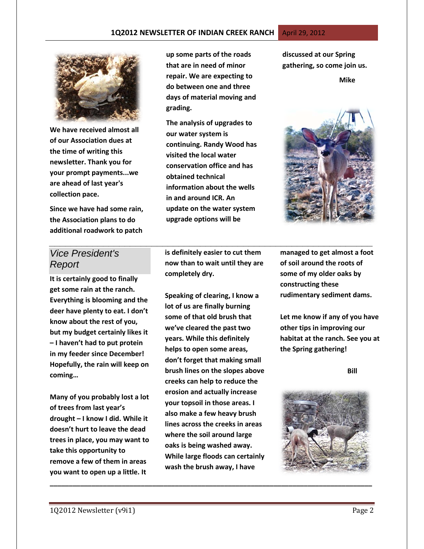

**We have received almost all of our Association dues at the time of writing this newsletter. Thank you for your prompt payments...we are ahead of last year's collection pace.** 

**Since we have had some rain, the Association plans to do additional roadwork to patch** 

**up some parts of the roads that are in need of minor repair. We are expecting to do between one and three days of material moving and grading.**

**The analysis of upgrades to our water system is continuing. Randy Wood has visited the local water conservation office and has obtained technical information about the wells in and around ICR. An update on the water system upgrade options will be** 

**discussed at our Spring gathering, so come join us.** 

### **Mike**



## *Vice President's Report*

**It is certainly good to finally get some rain at the ranch. Everything is blooming and the deer have plenty to eat. I don't know about the rest of you, but my budget certainly likes it – I haven't had to put protein in my feeder since December! Hopefully, the rain will keep on coming…**

**Many of you probably lost a lot of trees from last year's drought – I know I did. While it doesn't hurt to leave the dead trees in place, you may want to take this opportunity to remove a few of them in areas you want to open up a little. It** 

**is definitely easier to cut them now than to wait until they are completely dry.** 

*\_\_\_\_\_\_\_\_\_\_\_\_\_\_\_\_\_\_\_\_\_\_\_\_\_\_\_\_\_\_\_\_\_\_\_\_\_\_\_\_\_\_\_\_\_\_\_\_\_\_\_\_\_\_\_\_\_\_\_\_*

**Speaking of clearing, I know a lot of us are finally burning some of that old brush that we've cleared the past two years. While this definitely helps to open some areas, don't forget that making small brush lines on the slopes above creeks can help to reduce the erosion and actually increase your topsoil in those areas. I also make a few heavy brush lines across the creeks in areas where the soil around large oaks is being washed away. While large floods can certainly wash the brush away, I have** 

**\_\_\_\_\_\_\_\_\_\_\_\_\_\_\_\_\_\_\_\_\_\_\_\_\_\_\_\_\_\_\_\_\_\_\_\_\_\_\_\_\_\_\_\_\_\_\_\_\_\_\_\_\_\_\_\_\_\_\_\_\_\_\_\_\_\_\_\_\_\_\_\_\_\_\_\_\_\_\_\_\_\_\_\_\_**

**managed to get almost a foot of soil around the roots of some of my older oaks by constructing these rudimentary sediment dams.**

**Let me know if any of you have other tips in improving our habitat at the ranch. See you at the Spring gathering!**

 **Bill**

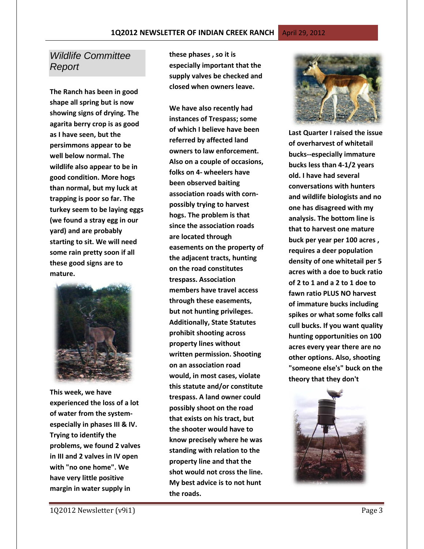# *Wildlife Committee Report*

**The Ranch has been in good shape all spring but is now showing signs of drying. The agarita berry crop is as good as I have seen, but the persimmons appear to be well below normal. The wildlife also appear to be in good condition. More hogs than normal, but my luck at trapping is poor so far. The turkey seem to be laying eggs (we found a stray egg in our yard) and are probably starting to sit. We will need some rain pretty soon if all these good signs are to mature.**



**This week, we have experienced the loss of a lot of water from the systemespecially in phases III & IV. Trying to identify the problems, we found 2 valves in III and 2 valves in IV open with "no one home". We have very little positive margin in water supply in** 

**these phases , so it is especially important that the supply valves be checked and closed when owners leave.**

**We have also recently had instances of Trespass; some of which I believe have been referred by affected land owners to law enforcement. Also on a couple of occasions, folks on 4- wheelers have been observed baiting association roads with cornpossibly trying to harvest hogs. The problem is that since the association roads are located through easements on the property of the adjacent tracts, hunting on the road constitutes trespass. Association members have travel access through these easements, but not hunting privileges. Additionally, State Statutes prohibit shooting across property lines without written permission. Shooting on an association road would, in most cases, violate this statute and/or constitute trespass. A land owner could possibly shoot on the road that exists on his tract, but the shooter would have to know precisely where he was standing with relation to the property line and that the shot would not cross the line. My best advice is to not hunt the roads.** 



**Last Quarter I raised the issue of overharvest of whitetail bucks--especially immature bucks less than 4-1/2 years old. I have had several conversations with hunters and wildlife biologists and no one has disagreed with my analysis. The bottom line is that to harvest one mature buck per year per 100 acres , requires a deer population density of one whitetail per 5 acres with a doe to buck ratio of 2 to 1 and a 2 to 1 doe to fawn ratio PLUS NO harvest of immature bucks including spikes or what some folks call cull bucks. If you want quality hunting opportunities on 100 acres every year there are no other options. Also, shooting "someone else's" buck on the theory that they don't** 

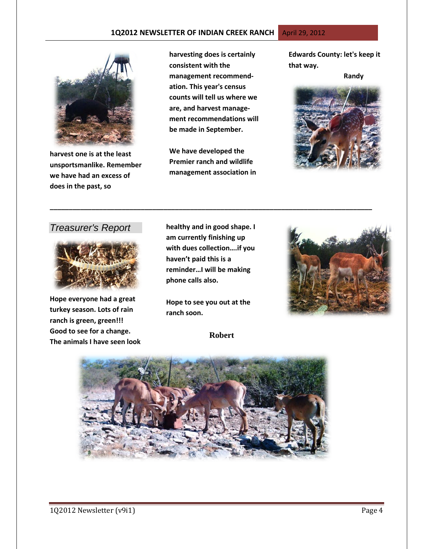### **1Q2012 NEWSLETTER OF INDIAN CREEK RANCH** April 29, 2012



**harvest one is at the least unsportsmanlike. Remember we have had an excess of does in the past, so** 

**harvesting does is certainly consistent with the management recommendation. This year's census counts will tell us where we are, and harvest management recommendations will be made in September.** 

**We have developed the Premier ranch and wildlife management association in**  **Edwards County: let's keep it that way.** 

 **Randy**



## *Treasurer's Report*



**Hope everyone had a great turkey season. Lots of rain ranch is green, green!!! Good to see for a change. The animals I have seen look**  **healthy and in good shape. I am currently finishing up with dues collection….if you haven't paid this is a reminder…I will be making phone calls also.** 

**\_\_\_\_\_\_\_\_\_\_\_\_\_\_\_\_\_\_\_\_\_\_\_\_\_\_\_\_\_\_\_\_\_\_\_\_\_\_\_\_\_\_\_\_\_\_\_\_\_\_\_\_\_\_\_\_\_\_\_\_\_\_\_\_\_\_\_\_\_\_\_\_\_\_\_\_\_\_\_\_\_\_\_\_\_**

**Hope to see you out at the ranch soon.**

 **Robert**